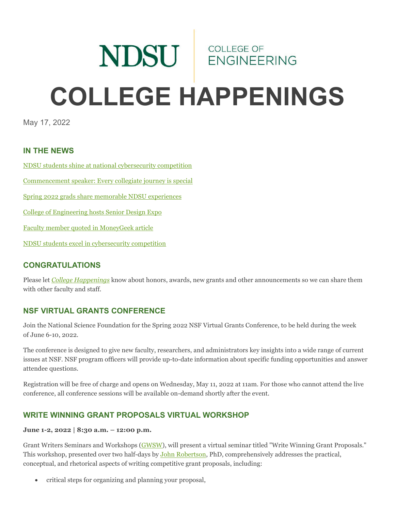# NDSU ENGINEERING **COLLEGE HAPPENINGS**

May 17, 2022

# **IN THE NEWS**

[NDSU students shine at national cybersecurity competition](https://www.ndsu.edu/news/view/detail/68323/)

[Commencement speaker: Every collegiate journey is special](https://www.ndsu.edu/news/view/detail/68412/)

[Spring 2022 grads share memorable NDSU experiences](https://www.ndsu.edu/experience/2022-spring-commencement-memories)

[College of Engineering hosts Senior Design Expo](https://www.ndsu.edu/news/view/detail/68424/)

[Faculty member quoted in MoneyGeek article](https://www.ndsu.edu/news/view/detail/68441/)

[NDSU students excel in cybersecurity competition](https://www.ndsu.edu/news/view/detail/68468/)

## **CONGRATULATIONS**

Please let *[College Happenings](mailto:kyle.bosch@ndsu.edu)* know about honors, awards, new grants and other announcements so we can share them with other faculty and staff.

# **NSF VIRTUAL GRANTS CONFERENCE**

Join the National Science Foundation for the Spring 2022 NSF Virtual Grants Conference, to be held during the week of June 6-10, 2022.

The conference is designed to give new faculty, researchers, and administrators key insights into a wide range of current issues at NSF. NSF program officers will provide up-to-date information about specific funding opportunities and answer attendee questions.

Registration will be free of charge and opens on Wednesday, May 11, 2022 at 11am. For those who cannot attend the live conference, all conference sessions will be available on-demand shortly after the event.

# **WRITE WINNING GRANT PROPOSALS VIRTUAL WORKSHOP**

### **June 1-2, 2022 | 8:30 a.m. – 12:00 p.m.**

Grant Writers Seminars and Workshops [\(GWSW\)](https://ndsu.us19.list-manage.com/track/click?u=6c5d98a898bad27df38e6394a&id=bfe115a109&e=ca813aff99), will present a virtual seminar titled "Write Winning Grant Proposals." This workshop, presented over two half-days by [John Robertson,](https://ndsu.us19.list-manage.com/track/click?u=6c5d98a898bad27df38e6394a&id=4079d57da6&e=ca813aff99) PhD, comprehensively addresses the practical, conceptual, and rhetorical aspects of writing competitive grant proposals, including:

• critical steps for organizing and planning your proposal,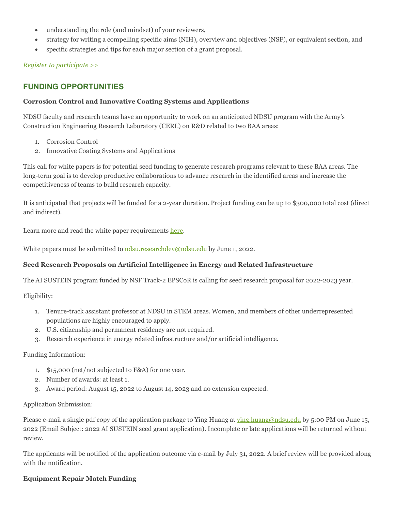- understanding the role (and mindset) of your reviewers,
- strategy for writing a compelling specific aims (NIH), overview and objectives (NSF), or equivalent section, and
- specific strategies and tips for each major section of a grant proposal.

### *[Register to participate >>](https://ndsu.us19.list-manage.com/track/click?u=6c5d98a898bad27df38e6394a&id=fff2e2345f&e=ca813aff99)*

# **FUNDING OPPORTUNITIES**

### **Corrosion Control and Innovative Coating Systems and Applications**

NDSU faculty and research teams have an opportunity to work on an anticipated NDSU program with the Army's Construction Engineering Research Laboratory (CERL) on R&D related to two BAA areas:

- 1. Corrosion Control
- 2. Innovative Coating Systems and Applications

This call for white papers is for potential seed funding to generate research programs relevant to these BAA areas. The long-term goal is to develop productive collaborations to advance research in the identified areas and increase the competitiveness of teams to build research capacity.

It is anticipated that projects will be funded for a 2-year duration. Project funding can be up to \$300,000 total cost (direct and indirect).

Learn more and read the white paper requirements [here.](https://ndsu.us19.list-manage.com/track/click?u=6c5d98a898bad27df38e6394a&id=a9a6da757d&e=ca813aff99)

White papers must be submitted t[o ndsu.researchdev@ndsu.edu](mailto:ndsu.researchdev@ndsu.edu) by June 1, 2022.

### **Seed Research Proposals on Artificial Intelligence in Energy and Related Infrastructure**

The AI SUSTEIN program funded by NSF Track-2 EPSCoR is calling for seed research proposal for 2022-2023 year.

Eligibility:

- 1. Tenure-track assistant professor at NDSU in STEM areas. Women, and members of other underrepresented populations are highly encouraged to apply.
- 2. U.S. citizenship and permanent residency are not required.
- 3. Research experience in energy related infrastructure and/or artificial intelligence.

### Funding Information:

- 1. \$15,000 (net/not subjected to F&A) for one year.
- 2. Number of awards: at least 1.
- 3. Award period: August 15, 2022 to August 14, 2023 and no extension expected.

### Application Submission:

Please e-mail a single pdf copy of the application package to Ying Huang at [ying.huang@ndsu.edu](mailto:ying.huang@ndsu.edu) by 5:00 PM on June 15, 2022 (Email Subject: 2022 AI SUSTEIN seed grant application). Incomplete or late applications will be returned without review.

The applicants will be notified of the application outcome via e-mail by July 31, 2022. A brief review will be provided along with the notification.

### **Equipment Repair Match Funding**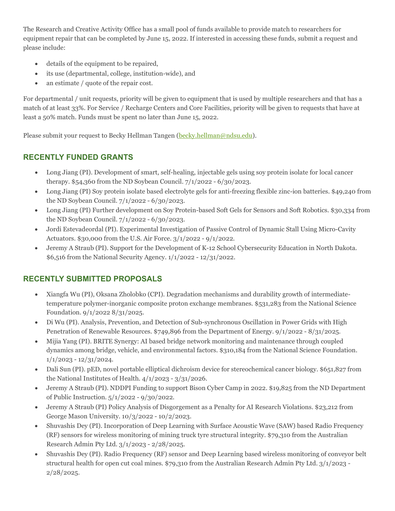The Research and Creative Activity Office has a small pool of funds available to provide match to researchers for equipment repair that can be completed by June 15, 2022. If interested in accessing these funds, submit a request and please include:

- details of the equipment to be repaired,
- its use (departmental, college, institution-wide), and
- an estimate / quote of the repair cost.

For departmental / unit requests, priority will be given to equipment that is used by multiple researchers and that has a match of at least 33%. For Service / Recharge Centers and Core Facilities, priority will be given to requests that have at least a 50% match. Funds must be spent no later than June 15, 2022.

Please submit your request to Becky Hellman Tangen [\(becky.hellman@ndsu.edu\)](mailto:becky.hellman@ndsu.edu).

# **RECENTLY FUNDED GRANTS**

- Long Jiang (PI). Development of smart, self-healing, injectable gels using soy protein isolate for local cancer therapy. \$54,360 from the ND Soybean Council. 7/1/2022 - 6/30/2023.
- Long Jiang (PI) Soy protein isolate based electrolyte gels for anti-freezing flexible zinc-ion batteries. \$49,240 from the ND Soybean Council. 7/1/2022 - 6/30/2023.
- Long Jiang (PI) Further development on Soy Protein-based Soft Gels for Sensors and Soft Robotics. \$30,334 from the ND Soybean Council. 7/1/2022 - 6/30/2023.
- Jordi Estevadeordal (PI). Experimental Investigation of Passive Control of Dynamic Stall Using Micro-Cavity Actuators. \$30,000 from the U.S. Air Force. 3/1/2022 - 9/1/2022.
- Jeremy A Straub (PI). Support for the Development of K-12 School Cybersecurity Education in North Dakota. \$6,516 from the National Security Agency. 1/1/2022 - 12/31/2022.

# **RECENTLY SUBMITTED PROPOSALS**

- Xiangfa Wu (PI), Oksana Zholobko (CPI). Degradation mechanisms and durability growth of intermediatetemperature polymer-inorganic composite proton exchange membranes. \$531,283 from the National Science Foundation. 9/1/2022 8/31/2025.
- Di Wu (PI). Analysis, Prevention, and Detection of Sub-synchronous Oscillation in Power Grids with High Penetration of Renewable Resources. \$749,896 from the Department of Energy. 9/1/2022 - 8/31/2025.
- Mijia Yang (PI). BRITE Synergy: AI based bridge network monitoring and maintenance through coupled dynamics among bridge, vehicle, and environmental factors. \$310,184 from the National Science Foundation. 1/1/2023 - 12/31/2024.
- Dali Sun (PI). pED, novel portable elliptical dichroism device for stereochemical cancer biology. \$651,827 from the National Institutes of Health. 4/1/2023 - 3/31/2026.
- Jeremy A Straub (PI). NDDPI Funding to support Bison Cyber Camp in 2022. \$19,825 from the ND Department of Public Instruction. 5/1/2022 - 9/30/2022.
- Jeremy A Straub (PI) Policy Analysis of Disgorgement as a Penalty for AI Research Violations. \$23,212 from George Mason University. 10/3/2022 - 10/2/2023.
- Shuvashis Dey (PI). Incorporation of Deep Learning with Surface Acoustic Wave (SAW) based Radio Frequency (RF) sensors for wireless monitoring of mining truck tyre structural integrity. \$79,310 from the Australian Research Admin Pty Ltd. 3/1/2023 - 2/28/2025.
- Shuvashis Dey (PI). Radio Frequency (RF) sensor and Deep Learning based wireless monitoring of conveyor belt structural health for open cut coal mines. \$79,310 from the Australian Research Admin Pty Ltd. 3/1/2023 - 2/28/2025.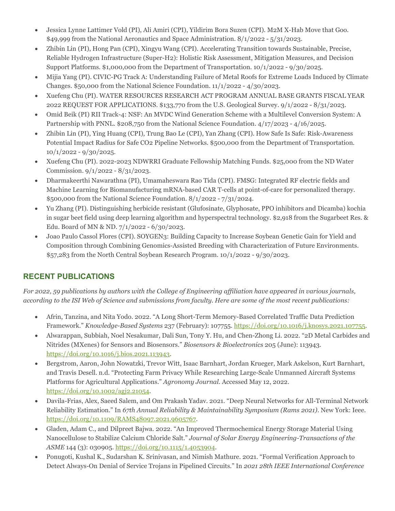- Jessica Lynne Lattimer Vold (PI), Ali Amiri (CPI), Yildirim Bora Suzen (CPI). M2M X-Hab Move that Goo. \$49,999 from the National Aeronautics and Space Administration. 8/1/2022 - 5/31/2023.
- Zhibin Lin (PI), Hong Pan (CPI), Xingyu Wang (CPI). Accelerating Transition towards Sustainable, Precise, Reliable Hydrogen Infrastructure (Super-H2): Holistic Risk Assessment, Mitigation Measures, and Decision Support Platforms. \$1,000,000 from the Department of Transportation. 10/1/2022 - 9/30/2025.
- Mijia Yang (PI). CIVIC-PG Track A: Understanding Failure of Metal Roofs for Extreme Loads Induced by Climate Changes.  $$50,000$  from the National Science Foundation.  $11/1/2022 - 4/30/2023$ .
- Xuefeng Chu (PI). WATER RESOURCES RESEARCH ACT PROGRAM ANNUAL BASE GRANTS FISCAL YEAR 2022 REQUEST FOR APPLICATIONS. \$133,770 from the U.S. Geological Survey. 9/1/2022 - 8/31/2023.
- Omid Beik (PI) RII Track-4: NSF: An MVDC Wind Generation Scheme with a Multilevel Conversion System: A Partnership with PNNL. \$208,750 from the National Science Foundation. 4/17/2023 - 4/16/2025.
- Zhibin Lin (PI), Ying Huang (CPI), Trung Bao Le (CPI), Yan Zhang (CPI). How Safe Is Safe: Risk-Awareness Potential Impact Radius for Safe CO2 Pipeline Networks. \$500,000 from the Department of Transportation.  $10/1/2022 - 9/30/2025$ .
- Xuefeng Chu (PI). 2022-2023 NDWRRI Graduate Fellowship Matching Funds. \$25,000 from the ND Water Commission. 9/1/2022 - 8/31/2023.
- Dharmakeerthi Nawarathna (PI), Umamaheswara Rao Tida (CPI). FMSG: Integrated RF electric fields and Machine Learning for Biomanufacturing mRNA-based CAR T-cells at point-of-care for personalized therapy. \$500,000 from the National Science Foundation. 8/1/2022 - 7/31/2024.
- Yu Zhang (PI). Distinguishing herbicide resistant (Glufosinate, Glyphosate, PPO inhibitors and Dicamba) kochia in sugar beet field using deep learning algorithm and hyperspectral technology. \$2,918 from the Sugarbeet Res. & Edu. Board of MN & ND. 7/1/2022 - 6/30/2023.
- Joao Paulo Cassol Flores (CPI). SOYGEN3: Building Capacity to Increase Soybean Genetic Gain for Yield and Composition through Combining Genomics-Assisted Breeding with Characterization of Future Environments. \$57,283 from the North Central Soybean Research Program. 10/1/2022 - 9/30/2023.

# **RECENT PUBLICATIONS**

*For 2022, 59 publications by authors with the College of Engineering affiliation have appeared in various journals, according to the ISI Web of Science and submissions from faculty. Here are some of the most recent publications:*

- Afrin, Tanzina, and Nita Yodo. 2022. "A Long Short-Term Memory-Based Correlated Traffic Data Prediction Framework." *Knowledge-Based Systems* 237 (February): 107755. [https://doi.org/10.1016/j.knosys.2021.107755.](https://doi.org/10.1016/j.knosys.2021.107755)
- Alwarappan, Subbiah, Noel Nesakumar, Dali Sun, Tony Y. Hu, and Chen-Zhong Li. 2022. "2D Metal Carbides and Nitrides (MXenes) for Sensors and Biosensors." *Biosensors & Bioelectronics* 205 (June): 113943. [https://doi.org/10.1016/j.bios.2021.113943.](https://doi.org/10.1016/j.bios.2021.113943)
- Bergstrom, Aaron, John Nowatzki, Trevor Witt, Isaac Barnhart, Jordan Krueger, Mark Askelson, Kurt Barnhart, and Travis Desell. n.d. "Protecting Farm Privacy While Researching Large-Scale Unmanned Aircraft Systems Platforms for Agricultural Applications." *Agronomy Journal*. Accessed May 12, 2022. [https://doi.org/10.1002/agj2.21054.](https://doi.org/10.1002/agj2.21054)
- Davila-Frias, Alex, Saeed Salem, and Om Prakash Yadav. 2021. "Deep Neural Networks for All-Terminal Network Reliability Estimation." In *67th Annual Reliability & Maintainability Symposium (Rams 2021)*. New York: Ieee. [https://doi.org/10.1109/RAMS48097.2021.9605767.](https://doi.org/10.1109/RAMS48097.2021.9605767)
- Gladen, Adam C., and Dilpreet Bajwa. 2022. "An Improved Thermochemical Energy Storage Material Using Nanocellulose to Stabilize Calcium Chloride Salt." *Journal of Solar Energy Engineering-Transactions of the ASME* 144 (3): 030905. [https://doi.org/10.1115/1.4053904.](https://doi.org/10.1115/1.4053904)
- Ponugoti, Kushal K., Sudarshan K. Srinivasan, and Nimish Mathure. 2021. "Formal Verification Approach to Detect Always-On Denial of Service Trojans in Pipelined Circuits." In *2021 28th IEEE International Conference*